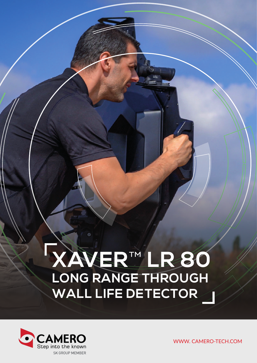# **XAVER**™ **LR 80 LONG RANGE THROUGH WALL LIFE DETECTOR**

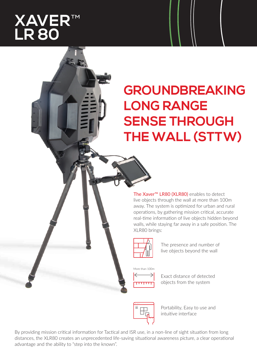### **XAVER**™ **LR 80**

## **GROUNDBREAKING LONG RANGE SENSE THROUGH THE WALL (STTW)**

The Xaver<sup>™</sup> LR80 (XLR80) enables to detect live objects through the wall at more than 100m away. The system is optimized for urban and rural operations, by gathering mission critical, accurate real-time information of live objects hidden beyond walls, while staying far away in a safe position. The XLR80 brings:



The presence and number of live objects beyond the wall

More than 100m



Exact distance of detected objects from the system



Portability, Easy to use and intuitive interface

By providing mission critical information for Tactical and ISR use, in a non-line of sight situation from long distances, the XLR80 creates an unprecedented life-saving situational awareness picture, a clear operational advantage and the ability to "step into the known".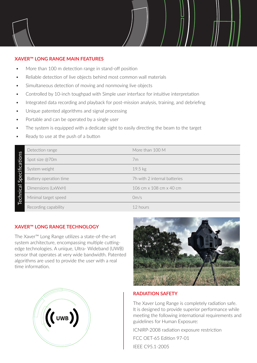### **XAVER™ LONG RANGE MAIN FEATURES**

- More than 100 m detection range in stand-off position
- Reliable detection of live objects behind most common wall materials
- Simultaneous detection of moving and nonmoving live objects
- Controlled by 10-inch toughpad with Simple user interface for intuitive interpretation
- Integrated data recording and playback for post-mission analysis, training, and debriefing
- Unique patented algorithms and signal processing
- Portable and can be operated by a single user
- The system is equipped with a dedicate sight to easily directing the beam to the target
- Ready to use at the push of a button

| S<br>Specificatio<br>hical<br>Tech | Detection range        | More than 100 M              |
|------------------------------------|------------------------|------------------------------|
|                                    | Spot size @70m         | 7m                           |
|                                    | System weight          | 19.5 kg                      |
|                                    | Battery operation time | 7h with 2 internal batteries |
|                                    | Dimensions (LxWxH)     | 106 cm x 108 cm x 40 cm      |
|                                    | Minimal target speed   | 0m/s                         |
|                                    | Recording capability   | 12 hours                     |

#### **XAVER™ LONG RANGE TECHNOLOGY**

The Xaver™ Long Range utilizes a state-of-the-art system architecture, encompassing multiple cuttingedge technologies. A unique, Ultra- Wideband (UWB) sensor that operates at very wide bandwidth. Patented algorithms are used to provide the user with a real time information.





#### **RADIATION SAFETY**

The Xaver Long Range is completely radiation safe. It is designed to provide superior performance while meeting the following international requirements and guidelines for Human Exposure:

ICNIRP-2008 radiation exposure restriction FCC OET-65 Edition 97-01 IEEE C95.1-2005